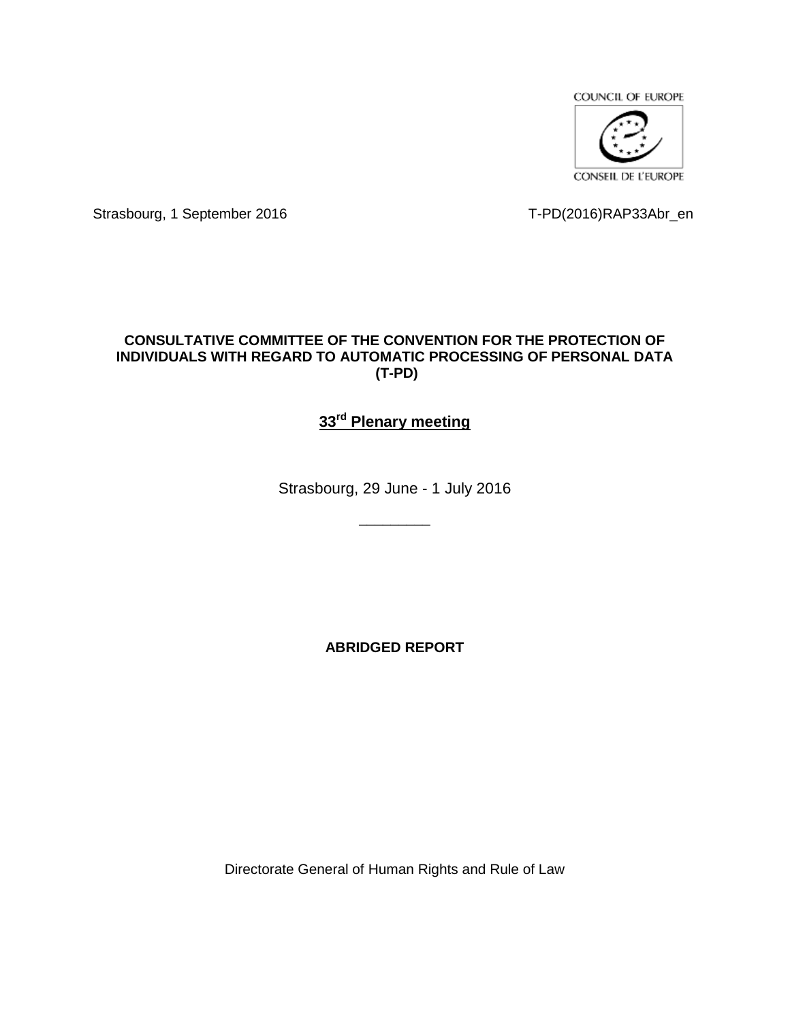

Strasbourg, 1 September 2016 T-PD(2016)RAP33Abr\_en

# **CONSULTATIVE COMMITTEE OF THE CONVENTION FOR THE PROTECTION OF INDIVIDUALS WITH REGARD TO AUTOMATIC PROCESSING OF PERSONAL DATA (T-PD)**

# **33rd Plenary meeting**

Strasbourg, 29 June - 1 July 2016

\_\_\_\_\_\_\_\_\_

**ABRIDGED REPORT**

Directorate General of Human Rights and Rule of Law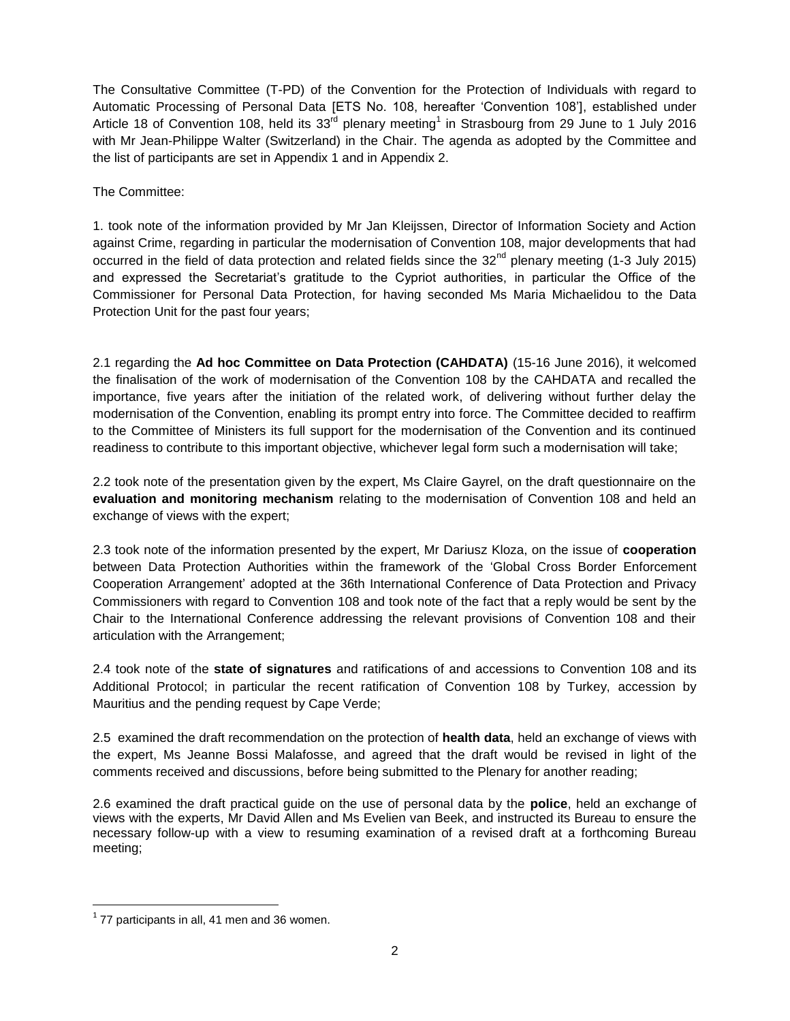The Consultative Committee (T-PD) of the Convention for the Protection of Individuals with regard to Automatic Processing of Personal Data [ETS No. 108, hereafter 'Convention 108'], established under Article 18 of Convention 108, held its 33<sup>rd</sup> plenary meeting<sup>1</sup> in Strasbourg from 29 June to 1 July 2016 with Mr Jean-Philippe Walter (Switzerland) in the Chair. The agenda as adopted by the Committee and the list of participants are set in Appendix 1 and in Appendix 2.

The Committee:

1. took note of the information provided by Mr Jan Kleijssen, Director of Information Society and Action against Crime, regarding in particular the modernisation of Convention 108, major developments that had occurred in the field of data protection and related fields since the  $32<sup>nd</sup>$  plenary meeting (1-3 July 2015) and expressed the Secretariat's gratitude to the Cypriot authorities, in particular the Office of the Commissioner for Personal Data Protection, for having seconded Ms Maria Michaelidou to the Data Protection Unit for the past four years;

2.1 regarding the **Ad hoc Committee on Data Protection (CAHDATA)** (15-16 June 2016), it welcomed the finalisation of the work of modernisation of the Convention 108 by the CAHDATA and recalled the importance, five years after the initiation of the related work, of delivering without further delay the modernisation of the Convention, enabling its prompt entry into force. The Committee decided to reaffirm to the Committee of Ministers its full support for the modernisation of the Convention and its continued readiness to contribute to this important objective, whichever legal form such a modernisation will take;

2.2 took note of the presentation given by the expert, Ms Claire Gayrel, on the draft questionnaire on the **evaluation and monitoring mechanism** relating to the modernisation of Convention 108 and held an exchange of views with the expert;

2.3 took note of the information presented by the expert, Mr Dariusz Kloza, on the issue of **cooperation**  between Data Protection Authorities within the framework of the 'Global Cross Border Enforcement Cooperation Arrangement' adopted at the 36th International Conference of Data Protection and Privacy Commissioners with regard to Convention 108 and took note of the fact that a reply would be sent by the Chair to the International Conference addressing the relevant provisions of Convention 108 and their articulation with the Arrangement;

2.4 took note of the **state of signatures** and ratifications of and accessions to Convention 108 and its Additional Protocol; in particular the recent ratification of Convention 108 by Turkey, accession by Mauritius and the pending request by Cape Verde;

2.5 examined the draft recommendation on the protection of **health data**, held an exchange of views with the expert, Ms Jeanne Bossi Malafosse, and agreed that the draft would be revised in light of the comments received and discussions, before being submitted to the Plenary for another reading;

2.6 examined the draft practical guide on the use of personal data by the **police**, held an exchange of views with the experts, Mr David Allen and Ms Evelien van Beek, and instructed its Bureau to ensure the necessary follow-up with a view to resuming examination of a revised draft at a forthcoming Bureau meeting;

l

 $1$  77 participants in all, 41 men and 36 women.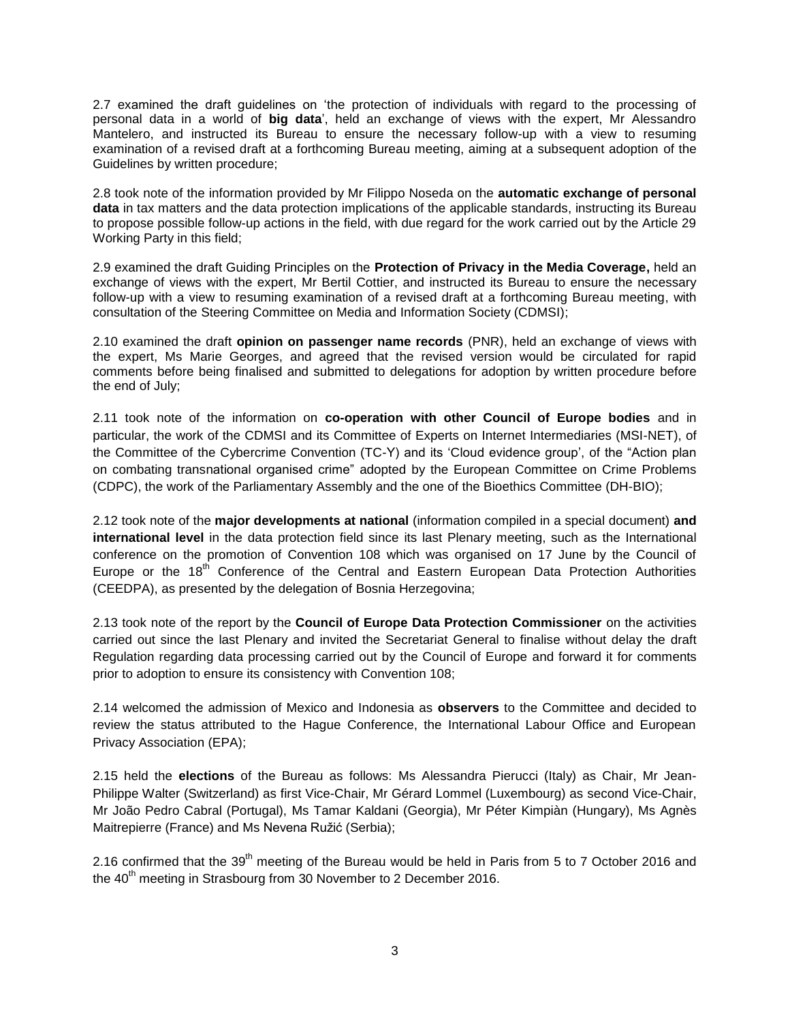2.7 examined the draft guidelines on 'the protection of individuals with regard to the processing of personal data in a world of **big data**', held an exchange of views with the expert, Mr Alessandro Mantelero, and instructed its Bureau to ensure the necessary follow-up with a view to resuming examination of a revised draft at a forthcoming Bureau meeting, aiming at a subsequent adoption of the Guidelines by written procedure;

2.8 took note of the information provided by Mr Filippo Noseda on the **automatic exchange of personal data** in tax matters and the data protection implications of the applicable standards, instructing its Bureau to propose possible follow-up actions in the field, with due regard for the work carried out by the Article 29 Working Party in this field;

2.9 examined the draft Guiding Principles on the **Protection of Privacy in the Media Coverage,** held an exchange of views with the expert, Mr Bertil Cottier, and instructed its Bureau to ensure the necessary follow-up with a view to resuming examination of a revised draft at a forthcoming Bureau meeting, with consultation of the Steering Committee on Media and Information Society (CDMSI);

2.10 examined the draft **opinion on passenger name records** (PNR), held an exchange of views with the expert, Ms Marie Georges, and agreed that the revised version would be circulated for rapid comments before being finalised and submitted to delegations for adoption by written procedure before the end of July;

2.11 took note of the information on **co-operation with other Council of Europe bodies** and in particular, the work of the CDMSI and its Committee of Experts on Internet Intermediaries (MSI-NET), of the Committee of the Cybercrime Convention (TC-Y) and its 'Cloud evidence group', of the "Action plan on combating transnational organised crime" adopted by the European Committee on Crime Problems (CDPC), the work of the Parliamentary Assembly and the one of the Bioethics Committee (DH-BIO);

2.12 took note of the **major developments at national** (information compiled in a special document) **and international level** in the data protection field since its last Plenary meeting, such as the International conference on the promotion of Convention 108 which was organised on 17 June by the Council of Europe or the 18<sup>th</sup> Conference of the Central and Eastern European Data Protection Authorities (CEEDPA), as presented by the delegation of Bosnia Herzegovina;

2.13 took note of the report by the **Council of Europe Data Protection Commissioner** on the activities carried out since the last Plenary and invited the Secretariat General to finalise without delay the draft Regulation regarding data processing carried out by the Council of Europe and forward it for comments prior to adoption to ensure its consistency with Convention 108;

2.14 welcomed the admission of Mexico and Indonesia as **observers** to the Committee and decided to review the status attributed to the Hague Conference, the International Labour Office and European Privacy Association (EPA);

2.15 held the **elections** of the Bureau as follows: Ms Alessandra Pierucci (Italy) as Chair, Mr Jean-Philippe Walter (Switzerland) as first Vice-Chair, Mr Gérard Lommel (Luxembourg) as second Vice-Chair, Mr João Pedro Cabral (Portugal), Ms Tamar Kaldani (Georgia), Mr Péter Kimpiàn (Hungary), Ms Agnès Maitrepierre (France) and Ms Nevena Ružić (Serbia);

2.16 confirmed that the 39<sup>th</sup> meeting of the Bureau would be held in Paris from 5 to 7 October 2016 and the  $40<sup>th</sup>$  meeting in Strasbourg from 30 November to 2 December 2016.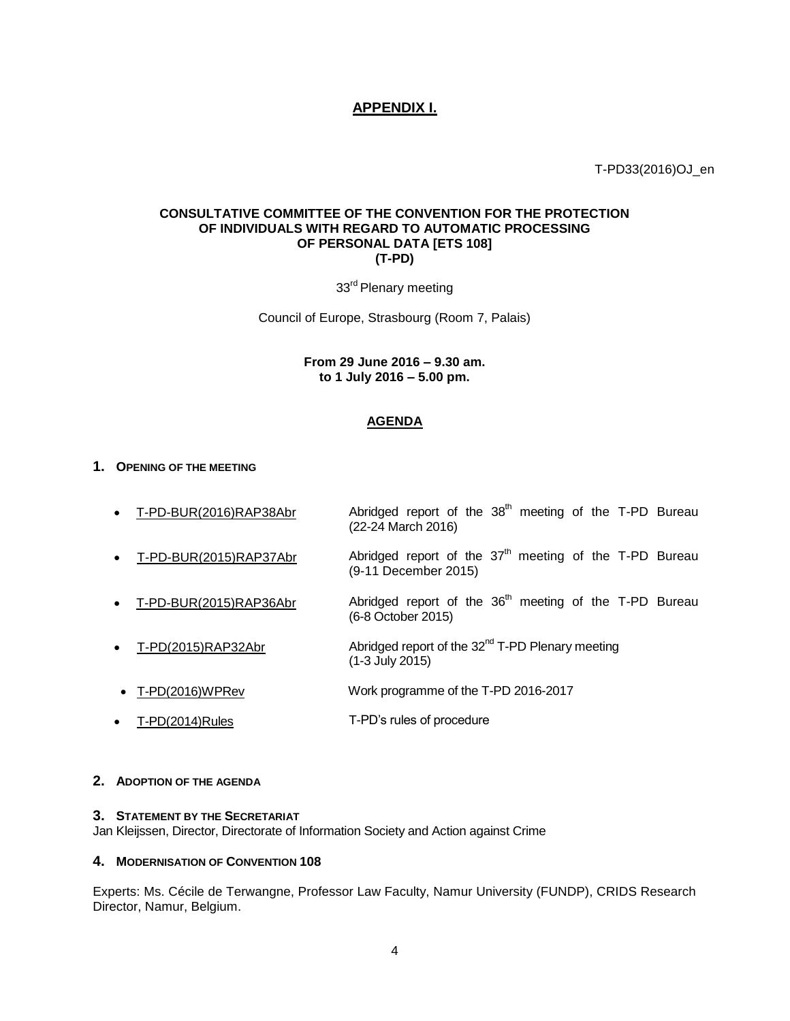# **APPENDIX I.**

T-PD33(2016)OJ\_en

# **CONSULTATIVE COMMITTEE OF THE CONVENTION FOR THE PROTECTION OF INDIVIDUALS WITH REGARD TO AUTOMATIC PROCESSING OF PERSONAL DATA [ETS 108] (T-PD)**

33<sup>rd</sup> Plenary meeting

Council of Europe, Strasbourg (Room 7, Palais)

# **From 29 June 2016 – 9.30 am. to 1 July 2016 – 5.00 pm.**

# **AGENDA**

### **1. OPENING OF THE MEETING**

- T-PD-BUR(2016)RAP38Abr Abridged report of the  $38<sup>th</sup>$  meeting of the T-PD Bureau (22-24 March 2016)
- T-PD-BUR(2015)RAP37Abr Abridged report of the  $37<sup>th</sup>$  meeting of the T-PD Bureau (9-11 December 2015)
- T-PD-BUR(2015)RAP36Abr Abridged report of the 36<sup>th</sup> meeting of the T-PD Bureau (6-8 October 2015)
- T-PD(2015)RAP32Abr Abridged report of the 32<sup>nd</sup> T-PD Plenary meeting (1-3 July 2015)
- T-PD(2016)WPRev Work programme of the T-PD 2016-2017
- T-PD(2014)Rules T-PD's rules of procedure

# **2. ADOPTION OF THE AGENDA**

#### **3. STATEMENT BY THE SECRETARIAT**

Jan Kleijssen, Director, Directorate of Information Society and Action against Crime

#### **4. MODERNISATION OF CONVENTION 108**

Experts: Ms. Cécile de Terwangne, Professor Law Faculty, Namur University (FUNDP), CRIDS Research Director, Namur, Belgium.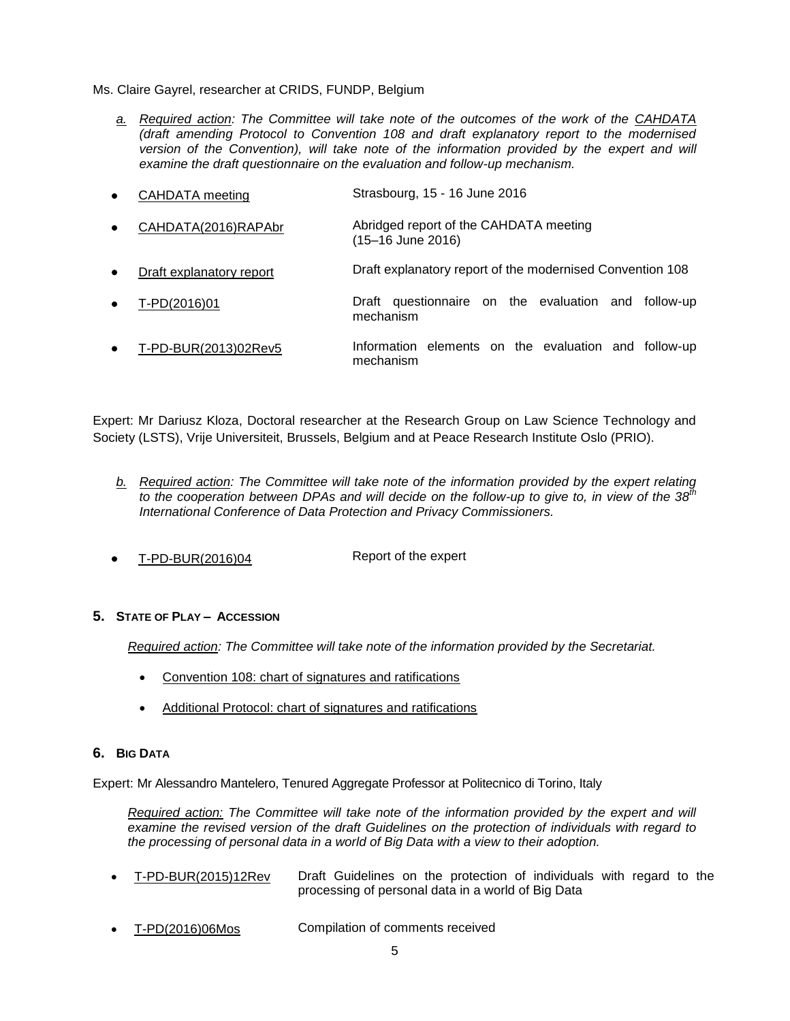Ms. Claire Gayrel, researcher at CRIDS, FUNDP, Belgium

*a. Required action: The Committee will take note of the outcomes of the work of the CAHDATA (draft amending Protocol to Convention 108 and draft explanatory report to the modernised version of the Convention), will take note of the information provided by the expert and will examine the draft questionnaire on the evaluation and follow-up mechanism.*

| $\bullet$ | CAHDATA meeting          | Strasbourg, 15 - 16 June 2016                                     |  |  |  |  |
|-----------|--------------------------|-------------------------------------------------------------------|--|--|--|--|
| $\bullet$ | CAHDATA(2016)RAPAbr      | Abridged report of the CAHDATA meeting<br>(15-16 June 2016)       |  |  |  |  |
| $\bullet$ | Draft explanatory report | Draft explanatory report of the modernised Convention 108         |  |  |  |  |
| $\bullet$ | T-PD(2016)01             | Draft questionnaire on the evaluation and follow-up<br>mechanism  |  |  |  |  |
| $\bullet$ | T-PD-BUR(2013)02Rev5     | Information elements on the evaluation and follow-up<br>mechanism |  |  |  |  |

Expert: Mr Dariusz Kloza, Doctoral researcher at the Research Group on Law Science Technology and Society (LSTS), Vrije Universiteit, Brussels, Belgium and at Peace Research Institute Oslo (PRIO).

- *b. Required action: The Committee will take note of the information provided by the expert relating to the cooperation between DPAs and will decide on the follow-up to give to, in view of the 38th International Conference of Data Protection and Privacy Commissioners.*
- T-PD-BUR(2016)04 Report of the expert

# **5. STATE OF PLAY – ACCESSION**

*Required action: The Committee will take note of the information provided by the Secretariat.*

- Convention 108: chart of signatures and ratifications
- Additional Protocol: chart of signatures and ratifications

# **6. BIG DATA**

Expert: Mr Alessandro Mantelero, Tenured Aggregate Professor at Politecnico di Torino, Italy

*Required action: The Committee will take note of the information provided by the expert and will examine the revised version of the draft Guidelines on the protection of individuals with regard to the processing of personal data in a world of Big Data with a view to their adoption.*

- T-PD-BUR(2015)12Rev Draft Guidelines on the protection of individuals with regard to the processing of personal data in a world of Big Data
- T-PD(2016)06Mos Compilation of comments received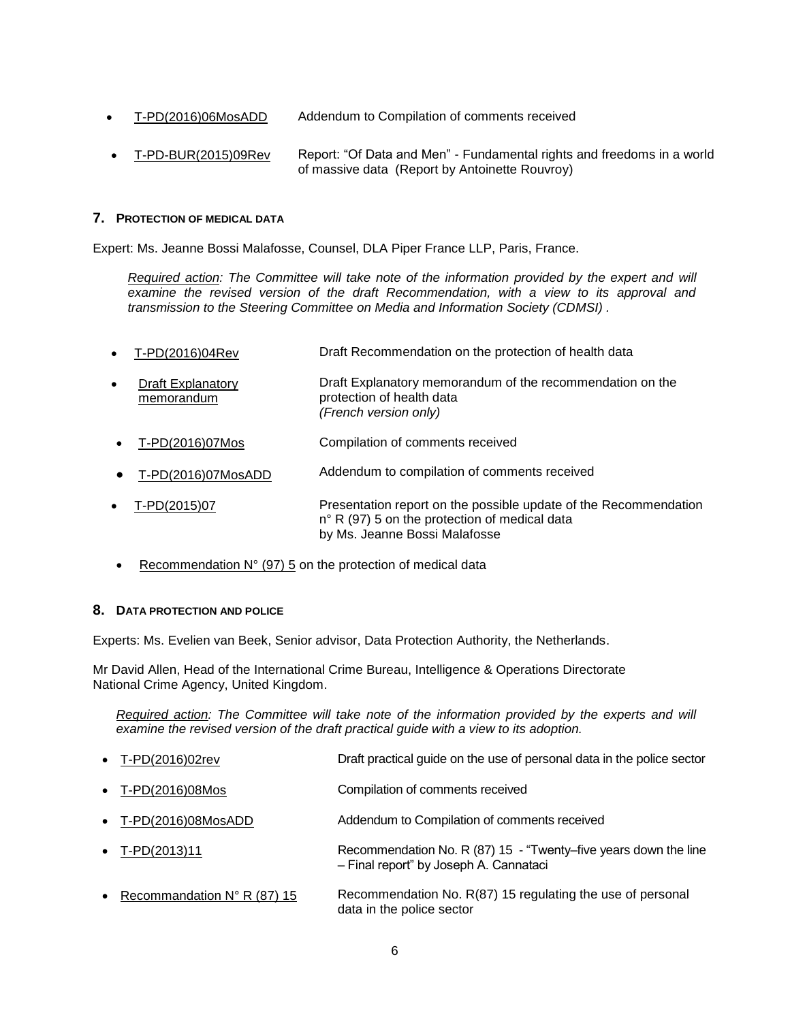- T-PD(2016)06MosADD Addendum to Compilation of comments received
- T-PD-BUR(2015)09Rev Report: "Of Data and Men" Fundamental rights and freedoms in a world of massive data (Report by Antoinette Rouvroy)

# **7. PROTECTION OF MEDICAL DATA**

Expert: Ms. Jeanne Bossi Malafosse, Counsel, DLA Piper France LLP, Paris, France.

*Required action: The Committee will take note of the information provided by the expert and will examine the revised version of the draft Recommendation, with a view to its approval and transmission to the Steering Committee on Media and Information Society (CDMSI) .*

- T-PD(2016)04Rev Draft Recommendation on the protection of health data Draft Explanatory memorandum Draft Explanatory memorandum of the recommendation on the protection of health data *(French version only)* T-PD(2016)07Mos Compilation of comments received [T-PD\(2016\)07MosADD](file:///C:/Users/simond/AppData/Local/Microsoft/Windows/Temporary%20Internet%20Files/Content.Outlook/0RBGF2RU/T-PD(2016)07MosADD_Addendum%20Compilation%20of%20comments%20HEALTH%20data%20recom.pdf) Addendum to compilation of comments received T-PD(2015)07 Presentation report on the possible update of the Recommendation n° R (97) 5 on the protection of medical data by Ms. Jeanne Bossi Malafosse
- Recommendation  $N^{\circ}$  (97) 5 on the protection of medical data

# **8. DATA PROTECTION AND POLICE**

Experts: Ms. Evelien van Beek, Senior advisor, Data Protection Authority, the Netherlands.

Mr David Allen, Head of the International Crime Bureau, Intelligence & Operations Directorate National Crime Agency, United Kingdom.

*Required action: The Committee will take note of the information provided by the experts and will examine the revised version of the draft practical guide with a view to its adoption.*

| $\bullet$ T-PD(2016)02rev              | Draft practical guide on the use of personal data in the police sector                                    |
|----------------------------------------|-----------------------------------------------------------------------------------------------------------|
| • T-PD(2016)08Mos                      | Compilation of comments received                                                                          |
| $\bullet$ T-PD(2016)08MosADD           | Addendum to Compilation of comments received                                                              |
| • $T-PD(2013)11$                       | Recommendation No. R (87) 15 - "Twenty-five years down the line<br>- Final report" by Joseph A. Cannataci |
| • Recommandation $N^{\circ}$ R (87) 15 | Recommendation No. R(87) 15 regulating the use of personal<br>data in the police sector                   |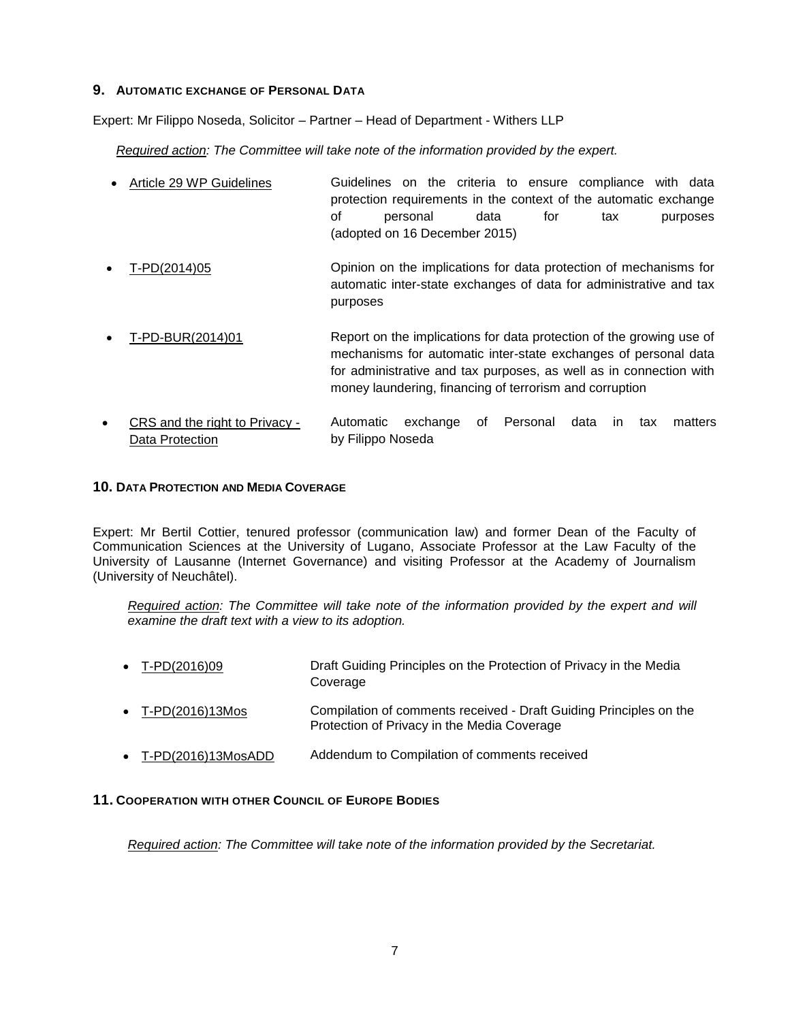# **9. AUTOMATIC EXCHANGE OF PERSONAL DATA**

Expert: Mr Filippo Noseda, Solicitor – Partner – Head of Department - Withers LLP

*Required action: The Committee will take note of the information provided by the expert.*

| • Article 29 WP Guidelines |                               |          |  |  |      |     | Guidelines on the criteria to ensure compliance with data        |  |          |
|----------------------------|-------------------------------|----------|--|--|------|-----|------------------------------------------------------------------|--|----------|
|                            |                               |          |  |  |      |     | protection requirements in the context of the automatic exchange |  |          |
|                            | of l                          | personal |  |  | data | tor | tax                                                              |  | purposes |
|                            | (adopted on 16 December 2015) |          |  |  |      |     |                                                                  |  |          |

- T-PD(2014)05 Opinion on the implications for data protection of mechanisms for automatic inter-state exchanges of data for administrative and tax purposes
- T-PD-BUR(2014)01 Report on the implications for data protection of the growing use of mechanisms for automatic inter-state exchanges of personal data for administrative and tax purposes, as well as in connection with money laundering, financing of terrorism and corruption
- CRS and the right to Privacy Data Protection Automatic exchange of Personal data in tax matters by Filippo Noseda

# **10. DATA PROTECTION AND MEDIA COVERAGE**

Expert: Mr Bertil Cottier, tenured professor (communication law) and former Dean of the Faculty of Communication Sciences at the University of Lugano, Associate Professor at the Law Faculty of the University of Lausanne (Internet Governance) and visiting Professor at the Academy of Journalism (University of Neuchâtel).

*Required action: The Committee will take note of the information provided by the expert and will examine the draft text with a view to its adoption.*

- T-PD(2016)09 Draft Guiding Principles on the Protection of Privacy in the Media Coverage T-PD(2016)13Mos Compilation of comments received - Draft Guiding Principles on the Protection of Privacy in the Media Coverage
- T-PD(2016)13MosADD Addendum to Compilation of comments received

# **11. COOPERATION WITH OTHER COUNCIL OF EUROPE BODIES**

*Required action: The Committee will take note of the information provided by the Secretariat.*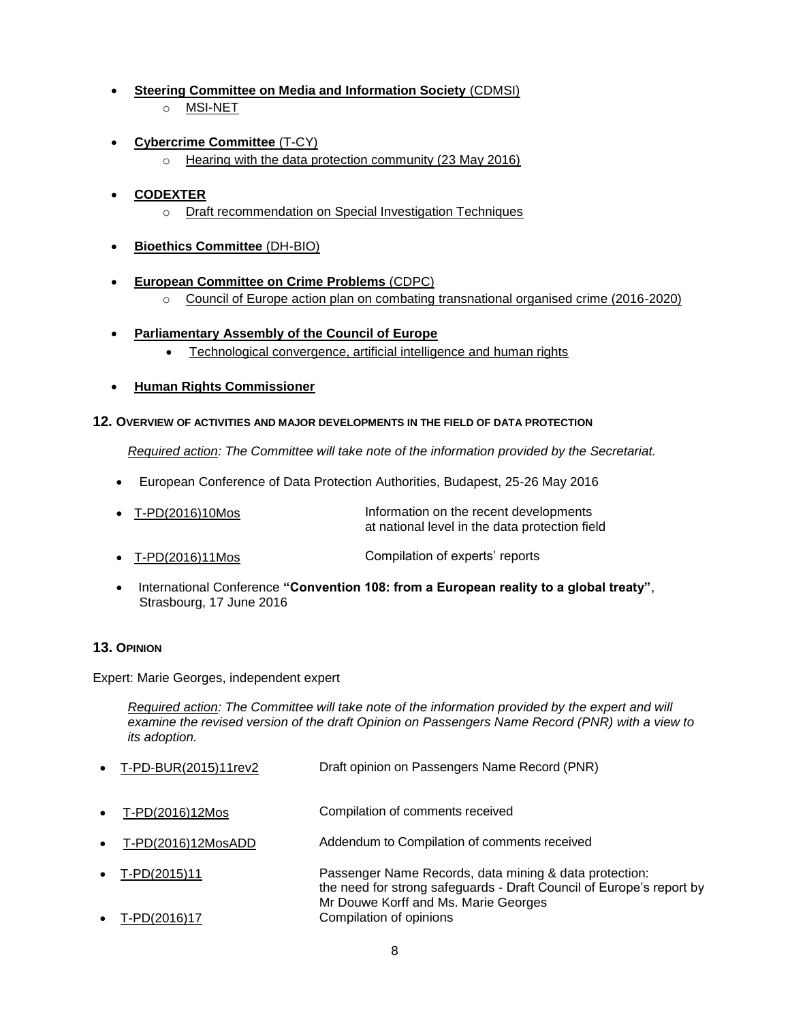- **Steering Committee on Media and Information Society** (CDMSI)
	- o MSI-NET
- **Cybercrime Committee** (T-CY)
	- o Hearing with the data protection community (23 May 2016)

# **CODEXTER**

- o Draft recommendation on Special Investigation Techniques
- **Bioethics Committee** (DH-BIO)
- **European Committee on Crime Problems** (CDPC)
	- o Council of Europe action plan on combating transnational organised crime (2016-2020)
- **Parliamentary Assembly of the Council of Europe**
	- Technological convergence, artificial intelligence and human rights
- **Human Rights Commissioner**

# **12. OVERVIEW OF ACTIVITIES AND MAJOR DEVELOPMENTS IN THE FIELD OF DATA PROTECTION**

*Required action: The Committee will take note of the information provided by the Secretariat.*

European Conference of Data Protection Authorities, Budapest, 25-26 May 2016

| $\bullet$ T-PD(2016)10Mos | Information on the recent developments         |  |  |  |  |
|---------------------------|------------------------------------------------|--|--|--|--|
|                           | at national level in the data protection field |  |  |  |  |

- T-PD(2016)11Mos Compilation of experts' reports
- International Conference **"Convention 108: from a European reality to a global treaty"**, Strasbourg, 17 June 2016

# **13. OPINION**

Expert: Marie Georges, independent expert

*Required action: The Committee will take note of the information provided by the expert and will examine the revised version of the draft Opinion on Passengers Name Record (PNR) with a view to its adoption.*

- T-PD-BUR(2015)11rev2 Draft opinion on Passengers Name Record (PNR)
- T-PD(2016)12Mos Compilation of comments received
- T-PD(2016)12MosADD Addendum to Compilation of comments received
- T-PD(2015)11 Passenger Name Records, data mining & data protection: the need for strong safeguards - Draft Council of Europe's report by Mr Douwe Korff and Ms. Marie Georges T-PD(2016)17 Compilation of opinions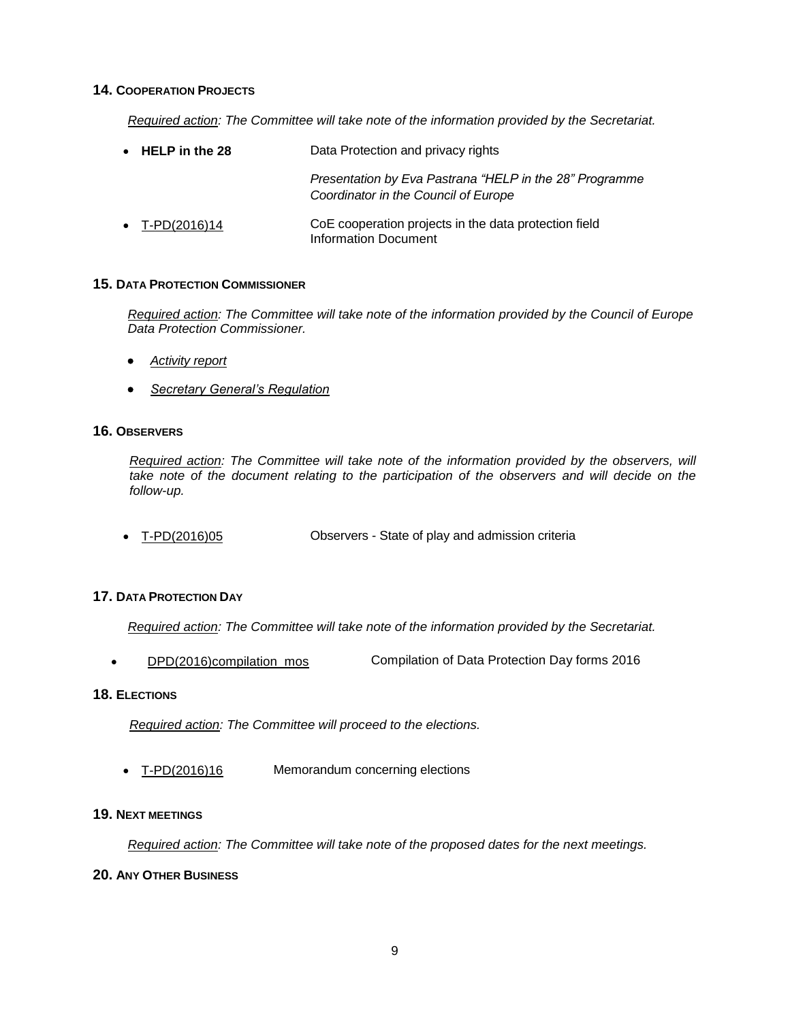### **14. COOPERATION PROJECTS**

*Required action: The Committee will take note of the information provided by the Secretariat.*

| $\bullet$ HELP in the 28 | Data Protection and privacy rights                                                              |  |  |
|--------------------------|-------------------------------------------------------------------------------------------------|--|--|
|                          | Presentation by Eva Pastrana "HELP in the 28" Programme<br>Coordinator in the Council of Europe |  |  |
| • $T-PD(2016)14$         | CoE cooperation projects in the data protection field<br>Information Document                   |  |  |

# **15. DATA PROTECTION COMMISSIONER**

*Required action: The Committee will take note of the information provided by the Council of Europe Data Protection Commissioner.*

- *Activity report*
- *Secretary General's Regulation*

# **16. OBSERVERS**

*Required action: The Committee will take note of the information provided by the observers, will*  take note of the document relating to the participation of the observers and will decide on the *follow-up.* 

T-PD(2016)05 Observers - State of play and admission criteria

# **17. DATA PROTECTION DAY**

*Required action: The Committee will take note of the information provided by the Secretariat.*

DPD(2016)compilation\_mos Compilation of Data Protection Day forms 2016

# **18. ELECTIONS**

*Required action: The Committee will proceed to the elections.* 

• T-PD(2016)16 Memorandum concerning elections

# **19. NEXT MEETINGS**

*Required action: The Committee will take note of the proposed dates for the next meetings.*

# **20. ANY OTHER BUSINESS**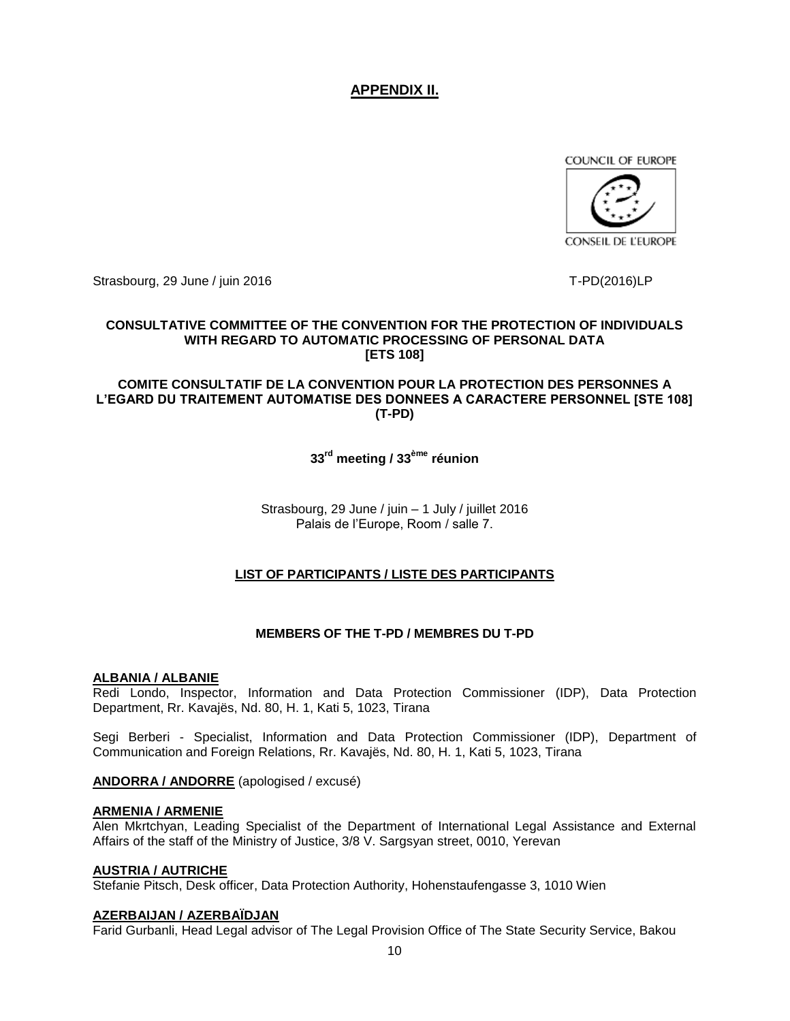# **APPENDIX II.**

COUNCIL OF EUROPE



Strasbourg, 29 June / juin 2016 The Contract of the Contract of the T-PD(2016)LP

# **CONSULTATIVE COMMITTEE OF THE CONVENTION FOR THE PROTECTION OF INDIVIDUALS WITH REGARD TO AUTOMATIC PROCESSING OF PERSONAL DATA [ETS 108]**

**COMITE CONSULTATIF DE LA CONVENTION POUR LA PROTECTION DES PERSONNES A L'EGARD DU TRAITEMENT AUTOMATISE DES DONNEES A CARACTERE PERSONNEL [STE 108] (T-PD)**

**33rd meeting / 33ème réunion**

Strasbourg, 29 June / juin – 1 July / juillet 2016 Palais de l'Europe, Room / salle 7.

# **LIST OF PARTICIPANTS / LISTE DES PARTICIPANTS**

# **MEMBERS OF THE T-PD / MEMBRES DU T-PD**

# **ALBANIA / ALBANIE**

Redi Londo, Inspector, Information and Data Protection Commissioner (IDP), Data Protection Department, Rr. Kavajës, Nd. 80, H. 1, Kati 5, 1023, Tirana

Segi Berberi - Specialist, Information and Data Protection Commissioner (IDP), Department of Communication and Foreign Relations, Rr. Kavajës, Nd. 80, H. 1, Kati 5, 1023, Tirana

# **ANDORRA / ANDORRE** (apologised / excusé)

# **ARMENIA / ARMENIE**

Alen Mkrtchyan, Leading Specialist of the Department of International Legal Assistance and External Affairs of the staff of the Ministry of Justice, 3/8 V. Sargsyan street, 0010, Yerevan

# **AUSTRIA / AUTRICHE**

Stefanie Pitsch, Desk officer, Data Protection Authority, Hohenstaufengasse 3, 1010 Wien

# **AZERBAIJAN / AZERBAÏDJAN**

Farid Gurbanli, Head Legal advisor of The Legal Provision Office of The State Security Service, Bakou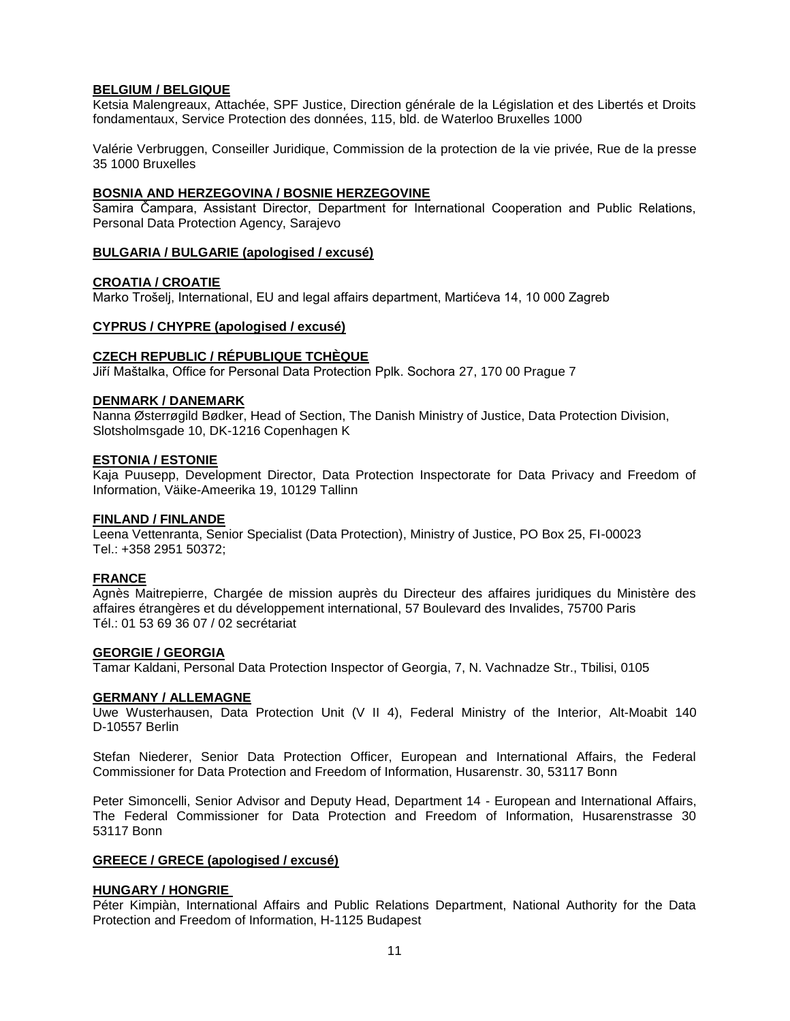# **BELGIUM / BELGIQUE**

Ketsia Malengreaux, Attachée, SPF Justice, Direction générale de la Législation et des Libertés et Droits fondamentaux, Service Protection des données, 115, bld. de Waterloo Bruxelles 1000

Valérie Verbruggen, Conseiller Juridique, Commission de la protection de la vie privée, Rue de la presse 35 1000 Bruxelles

#### **BOSNIA AND HERZEGOVINA / BOSNIE HERZEGOVINE**

Samira Čampara, Assistant Director, Department for International Cooperation and Public Relations, Personal Data Protection Agency, Sarajevo

#### **BULGARIA / BULGARIE (apologised / excusé)**

#### **CROATIA / CROATIE**

Marko Trošelj, International, EU and legal affairs department, Martićeva 14, 10 000 Zagreb

### **CYPRUS / CHYPRE (apologised / excusé)**

### **CZECH REPUBLIC / RÉPUBLIQUE TCHÈQUE**

Jiří Maštalka, Office for Personal Data Protection Pplk. Sochora 27, 170 00 Prague 7

#### **DENMARK / DANEMARK**

Nanna Østerrøgild Bødker, Head of Section, The Danish Ministry of Justice, Data Protection Division, Slotsholmsgade 10, DK-1216 Copenhagen K

#### **ESTONIA / ESTONIE**

Kaja Puusepp, Development Director, Data Protection Inspectorate for Data Privacy and Freedom of Information, Väike-Ameerika 19, 10129 Tallinn

#### **FINLAND / FINLANDE**

Leena Vettenranta, Senior Specialist (Data Protection), Ministry of Justice, PO Box 25, FI-00023 Tel.: +358 2951 50372;

# **FRANCE**

Agnès Maitrepierre, Chargée de mission auprès du Directeur des affaires juridiques du Ministère des affaires étrangères et du développement international, 57 Boulevard des Invalides, 75700 Paris Tél.: 01 53 69 36 07 / 02 secrétariat

#### **GEORGIE / GEORGIA**

Tamar Kaldani, Personal Data Protection Inspector of Georgia, 7, N. Vachnadze Str., Tbilisi, 0105

#### **GERMANY / ALLEMAGNE**

Uwe Wusterhausen, Data Protection Unit (V II 4), Federal Ministry of the Interior, Alt-Moabit 140 D-10557 Berlin

Stefan Niederer, Senior Data Protection Officer, European and International Affairs, the Federal Commissioner for Data Protection and Freedom of Information, Husarenstr. 30, 53117 Bonn

Peter Simoncelli, Senior Advisor and Deputy Head, Department 14 - European and International Affairs, The Federal Commissioner for Data Protection and Freedom of Information, Husarenstrasse 30 53117 Bonn

#### **GREECE / GRECE (apologised / excusé)**

#### **HUNGARY / HONGRIE**

Péter Kimpiàn, International Affairs and Public Relations Department, National Authority for the Data Protection and Freedom of Information, H-1125 Budapest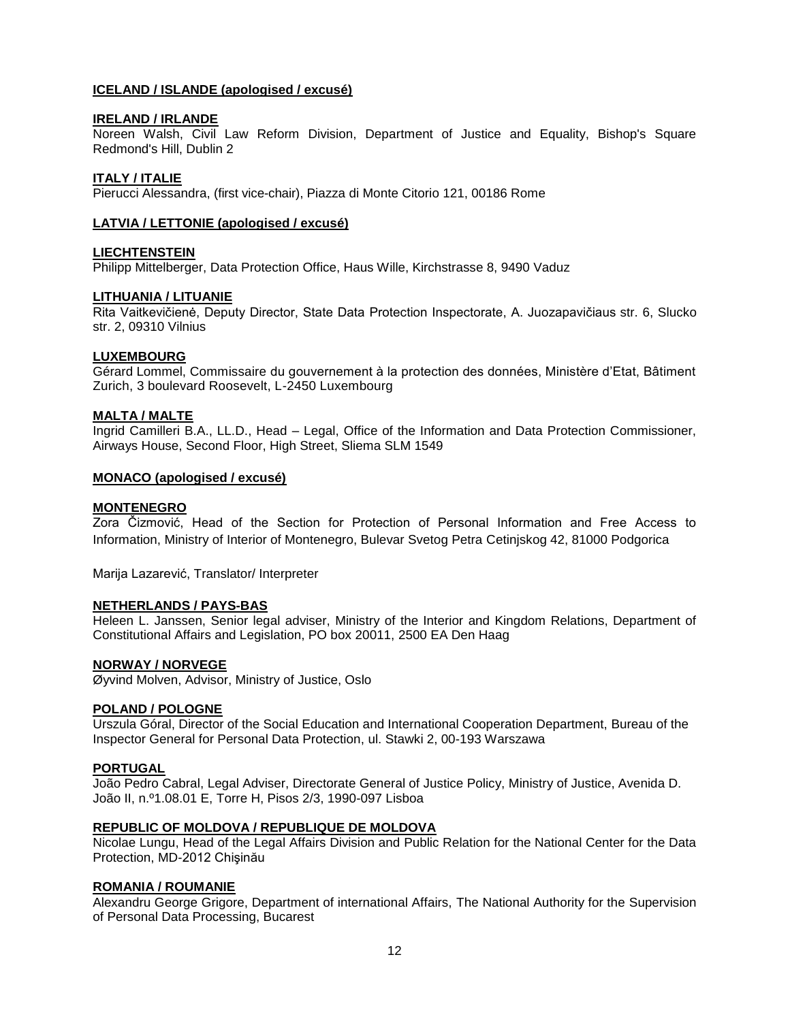# **ICELAND / ISLANDE (apologised / excusé)**

#### **IRELAND / IRLANDE**

Noreen Walsh, Civil Law Reform Division, Department of Justice and Equality, Bishop's Square Redmond's Hill, Dublin 2

#### **ITALY / ITALIE**

Pierucci Alessandra, (first vice-chair), Piazza di Monte Citorio 121, 00186 Rome

#### **LATVIA / LETTONIE (apologised / excusé)**

#### **LIECHTENSTEIN**

Philipp Mittelberger, Data Protection Office, Haus Wille, Kirchstrasse 8, 9490 Vaduz

#### **LITHUANIA / LITUANIE**

Rita Vaitkevičienė, Deputy Director, State Data Protection Inspectorate, A. Juozapavičiaus str. 6, Slucko str. 2, 09310 Vilnius

#### **LUXEMBOURG**

Gérard Lommel, Commissaire du gouvernement à la protection des données, Ministère d'Etat, Bâtiment Zurich, 3 boulevard Roosevelt, L-2450 Luxembourg

#### **MALTA / MALTE**

Ingrid Camilleri B.A., LL.D., Head – Legal, Office of the Information and Data Protection Commissioner, Airways House, Second Floor, High Street, Sliema SLM 1549

#### **MONACO (apologised / excusé)**

#### **MONTENEGRO**

Zora Čizmović, Head of the Section for Protection of Personal Information and Free Access to Information, Ministry of Interior of Montenegro, Bulevar Svetog Petra Cetinjskog 42, 81000 Podgorica

Marija Lazarević, Translator/ Interpreter

#### **NETHERLANDS / PAYS-BAS**

Heleen L. Janssen, Senior legal adviser, Ministry of the Interior and Kingdom Relations, Department of Constitutional Affairs and Legislation, PO box 20011, 2500 EA Den Haag

#### **NORWAY / NORVEGE**

Øyvind Molven, Advisor, Ministry of Justice, Oslo

#### **POLAND / POLOGNE**

Urszula Góral, Director of the Social Education and International Cooperation Department, Bureau of the Inspector General for Personal Data Protection, ul. Stawki 2, 00-193 Warszawa

#### **PORTUGAL**

João Pedro Cabral, Legal Adviser, Directorate General of Justice Policy, Ministry of Justice, Avenida D. João II, n.º1.08.01 E, Torre H, Pisos 2/3, 1990-097 Lisboa

#### **REPUBLIC OF MOLDOVA / REPUBLIQUE DE MOLDOVA**

Nicolae Lungu, Head of the Legal Affairs Division and Public Relation for the National Center for the Data Protection, MD-2012 Chişinău

#### **ROMANIA / ROUMANIE**

Alexandru George Grigore, Department of international Affairs, The National Authority for the Supervision of Personal Data Processing, Bucarest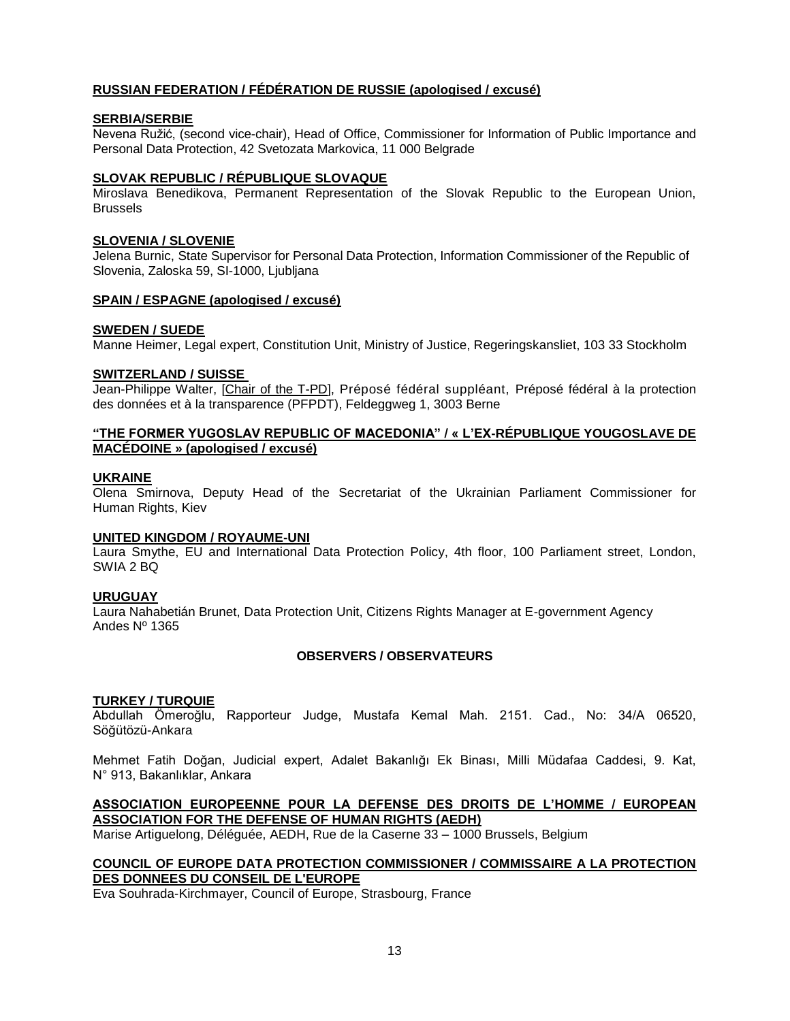# **RUSSIAN FEDERATION / [FÉDÉRATION DE RUSSIE](http://home.coe.int/t/protocol/missdipl_en.asp#Russian_Federation_/_Fédération_de_Russie#Russian_Federation_/_Fédération_de_Russie) (apologised / excusé)**

#### **SERBIA/SERBIE**

Nevena Ružić, (second vice-chair), Head of Office, Commissioner for Information of Public Importance and Personal Data Protection, 42 Svetozata Markovica, 11 000 Belgrade

#### **SLOVAK REPUBLIC / RÉPUBLIQUE SLOVAQUE**

Miroslava Benedikova, Permanent Representation of the Slovak Republic to the European Union, **Brussels** 

#### **SLOVENIA / SLOVENIE**

Jelena Burnic, State Supervisor for Personal Data Protection, Information Commissioner of the Republic of Slovenia, Zaloska 59, SI-1000, Ljubljana

#### **SPAIN / ESPAGNE (apologised / excusé)**

#### **SWEDEN / SUEDE**

Manne Heimer, Legal expert, Constitution Unit, Ministry of Justice, Regeringskansliet, 103 33 Stockholm

#### **SWITZERLAND / SUISSE**

Jean-Philippe Walter, [Chair of the T-PD], Préposé fédéral suppléant, Préposé fédéral à la protection des données et à la transparence (PFPDT), Feldeggweg 1, 3003 Berne

# **"THE FORMER YUGOSLAV REPUBLIC OF MACEDONIA" / « L'EX-RÉPUBLIQUE YOUGOSLAVE DE MACÉDOINE » (apologised / excusé)**

#### **UKRAINE**

Olena Smirnova, Deputy Head of the Secretariat of the Ukrainian Parliament Commissioner for Human Rights, Kiev

#### **UNITED KINGDOM / ROYAUME-UNI**

Laura Smythe, EU and International Data Protection Policy, 4th floor, 100 Parliament street, London, SWIA 2 BQ

# **URUGUAY**

Laura Nahabetián Brunet, Data Protection Unit, Citizens Rights Manager at E-government Agency Andes Nº 1365

# **OBSERVERS / OBSERVATEURS**

# **TURKEY / TURQUIE**

Abdullah Ömeroğlu, Rapporteur Judge, Mustafa Kemal Mah. 2151. Cad., No: 34/A 06520, Söğütözü-Ankara

Mehmet Fatih Doğan, Judicial expert, Adalet Bakanlığı Ek Binası, Milli Müdafaa Caddesi, 9. Kat, N° 913, Bakanlıklar, Ankara

# **ASSOCIATION EUROPEENNE POUR LA DEFENSE DES DROITS DE L'HOMME / EUROPEAN ASSOCIATION FOR THE DEFENSE OF HUMAN RIGHTS (AEDH)**

Marise Artiguelong, Déléguée, AEDH, Rue de la Caserne 33 – 1000 Brussels, Belgium

# **COUNCIL OF EUROPE DATA PROTECTION COMMISSIONER / COMMISSAIRE A LA PROTECTION DES DONNEES DU CONSEIL DE L'EUROPE**

Eva Souhrada-Kirchmayer, Council of Europe, Strasbourg, France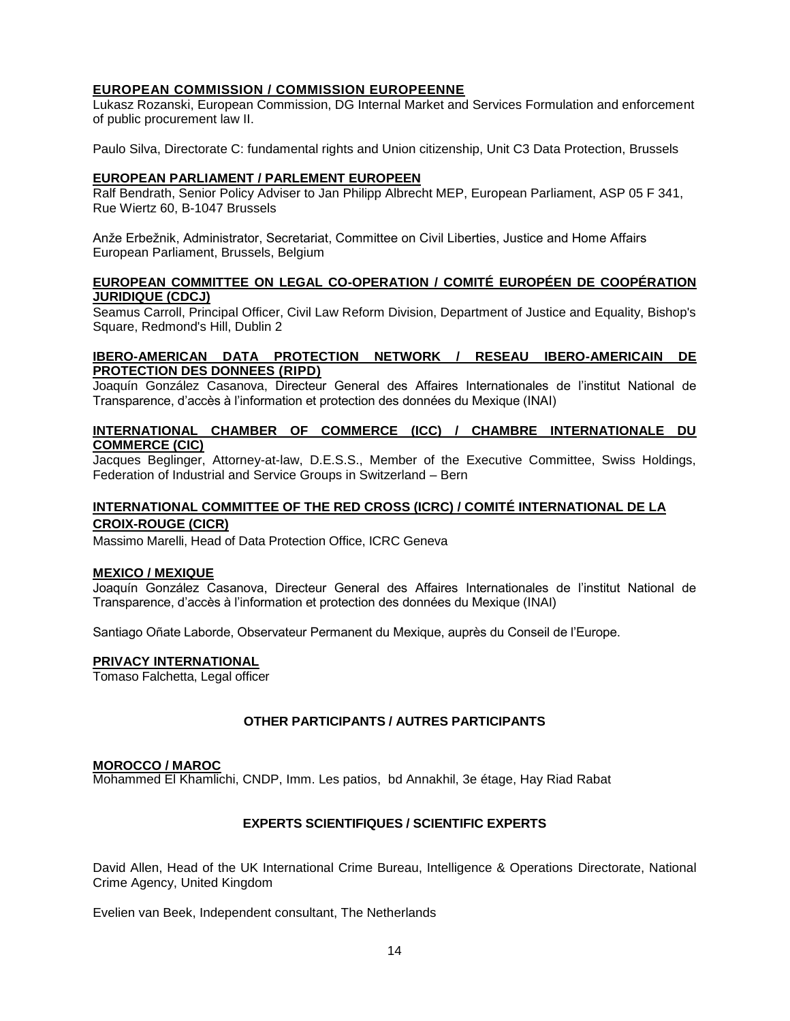# **EUROPEAN COMMISSION / COMMISSION EUROPEENNE**

Lukasz Rozanski, European Commission, DG Internal Market and Services Formulation and enforcement of public procurement law II.

Paulo Silva, Directorate C: fundamental rights and Union citizenship, Unit C3 Data Protection, Brussels

#### **EUROPEAN PARLIAMENT / PARLEMENT EUROPEEN**

Ralf Bendrath, Senior Policy Adviser to Jan Philipp Albrecht MEP, European Parliament, ASP 05 F 341, Rue Wiertz 60, B-1047 Brussels

Anže Erbežnik, Administrator, Secretariat, Committee on Civil Liberties, Justice and Home Affairs European Parliament, Brussels, Belgium

# **EUROPEAN COMMITTEE ON LEGAL CO-OPERATION / COMITÉ EUROPÉEN DE COOPÉRATION JURIDIQUE (CDCJ)**

Seamus Carroll, Principal Officer, Civil Law Reform Division, Department of Justice and Equality, Bishop's Square, Redmond's Hill, Dublin 2

# **IBERO-AMERICAN DATA PROTECTION NETWORK / RESEAU IBERO-AMERICAIN DE PROTECTION DES DONNEES (RIPD)**

Joaquín González Casanova, Directeur General des Affaires Internationales de l'institut National de Transparence, d'accès à l'information et protection des données du Mexique (INAI)

# **INTERNATIONAL CHAMBER OF COMMERCE (ICC) / CHAMBRE INTERNATIONALE DU COMMERCE (CIC)**

Jacques Beglinger, Attorney-at-law, D.E.S.S., Member of the Executive Committee, Swiss Holdings, Federation of Industrial and Service Groups in Switzerland – Bern

# **INTERNATIONAL COMMITTEE OF THE RED CROSS (ICRC) / COMITÉ INTERNATIONAL DE LA CROIX-ROUGE (CICR)**

Massimo Marelli, Head of Data Protection Office, ICRC Geneva

# **MEXICO / MEXIQUE**

Joaquín González Casanova, Directeur General des Affaires Internationales de l'institut National de Transparence, d'accès à l'information et protection des données du Mexique (INAI)

Santiago Oñate Laborde, Observateur Permanent du Mexique, auprès du Conseil de l'Europe.

#### **PRIVACY INTERNATIONAL**

Tomaso Falchetta, Legal officer

# **OTHER PARTICIPANTS / AUTRES PARTICIPANTS**

#### **MOROCCO / MAROC**

Mohammed El Khamlichi, CNDP, Imm. Les patios, bd Annakhil, 3e étage, Hay Riad Rabat

# **EXPERTS SCIENTIFIQUES / SCIENTIFIC EXPERTS**

David Allen, Head of the UK International Crime Bureau, Intelligence & Operations Directorate, National Crime Agency, United Kingdom

Evelien van Beek, Independent consultant, The Netherlands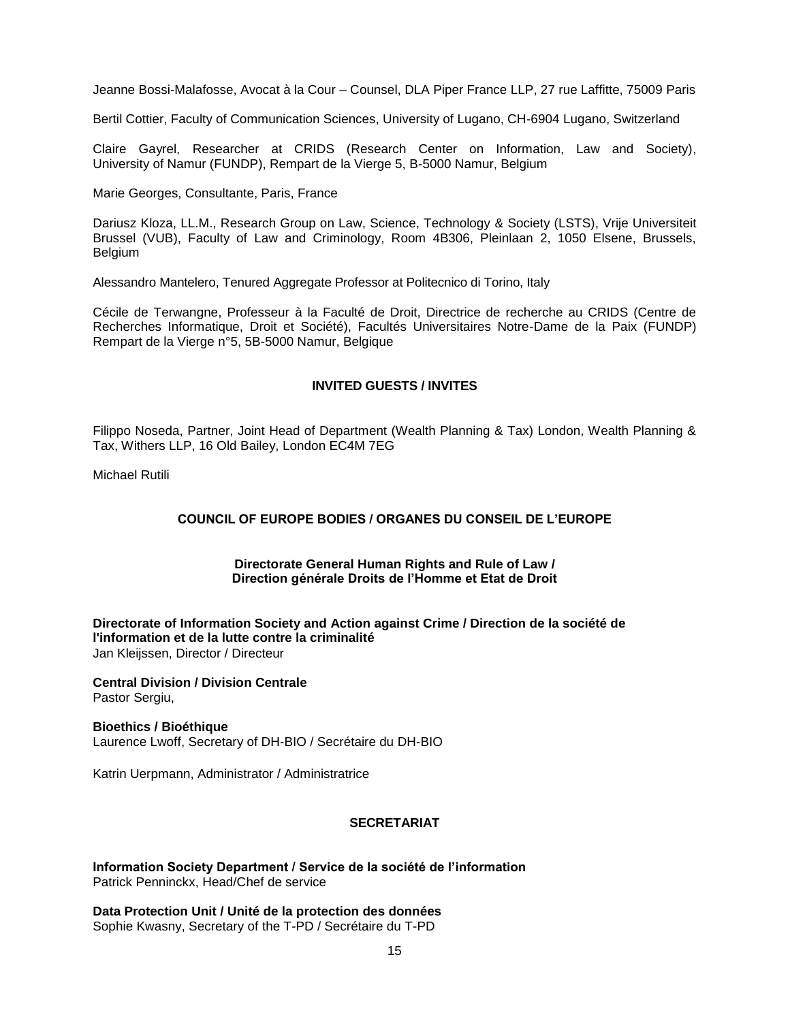Jeanne Bossi-Malafosse, Avocat à la Cour – Counsel, DLA Piper France LLP, 27 rue Laffitte, 75009 Paris

Bertil Cottier, Faculty of Communication Sciences, University of Lugano, CH-6904 Lugano, Switzerland

Claire Gayrel, Researcher at CRIDS (Research Center on Information, Law and Society), University of Namur (FUNDP), Rempart de la Vierge 5, B-5000 Namur, Belgium

Marie Georges, Consultante, Paris, France

Dariusz Kloza, LL.M., Research Group on Law, Science, Technology & Society (LSTS), Vrije Universiteit Brussel (VUB), Faculty of Law and Criminology, Room 4B306, Pleinlaan 2, 1050 Elsene, Brussels, Belgium

Alessandro Mantelero, Tenured Aggregate Professor at Politecnico di Torino, Italy

Cécile de Terwangne, Professeur à la Faculté de Droit, Directrice de recherche au CRIDS (Centre de Recherches Informatique, Droit et Société), Facultés Universitaires Notre-Dame de la Paix (FUNDP) Rempart de la Vierge n°5, 5B-5000 Namur, Belgique

# **INVITED GUESTS / INVITES**

Filippo Noseda, Partner, Joint Head of Department (Wealth Planning & Tax) London, Wealth Planning & Tax, Withers LLP, 16 Old Bailey, London EC4M 7EG

Michael Rutili

# **COUNCIL OF EUROPE BODIES / ORGANES DU CONSEIL DE L'EUROPE**

#### **Directorate General Human Rights and Rule of Law / Direction générale Droits de l'Homme et Etat de Droit**

**Directorate of Information Society and Action against Crime / Direction de la société de l'information et de la lutte contre la criminalité** Jan Kleijssen, Director / Directeur

**[Central Division / Division Centrale](https://cs.coe.int/_layouts/orgchart/orgchart.aspx?lcid=1033&key=756&NameSimple=PASTOR&open=true)** Pastor Sergiu,

**Bioethics / Bioéthique** Laurence Lwoff, Secretary of DH-BIO / Secrétaire du DH-BIO

Katrin Uerpmann, Administrator / Administratrice

# **SECRETARIAT**

**Information Society Department / Service de la société de l'information** Patrick Penninckx, Head/Chef de service

**Data Protection Unit / Unité de la protection des données** Sophie Kwasny, Secretary of the T-PD / Secrétaire du T-PD